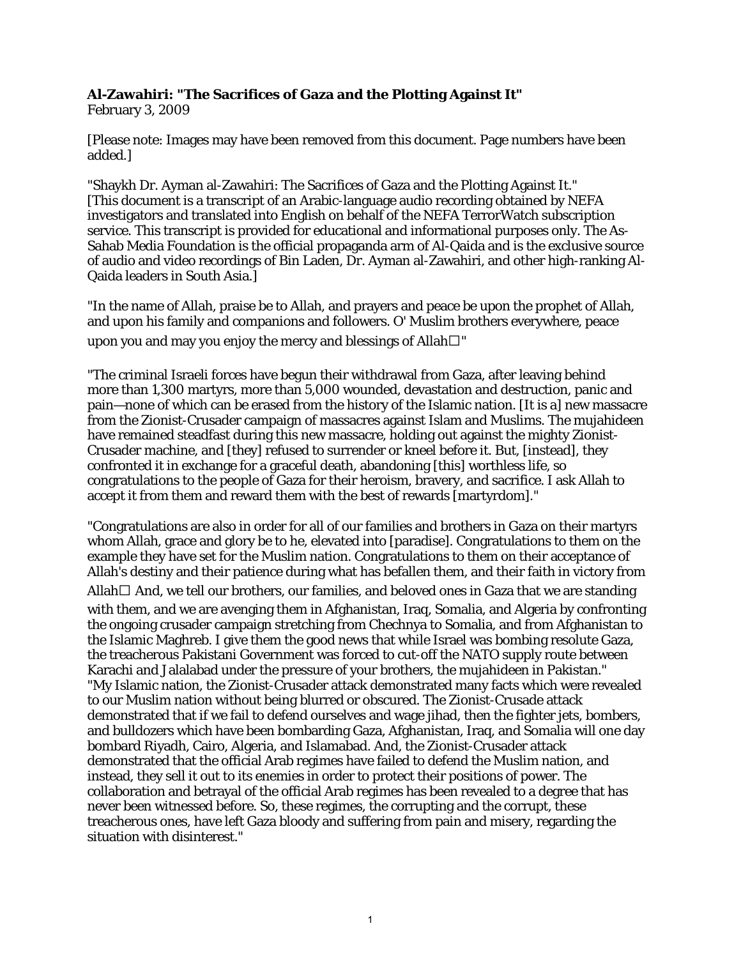## **Al-Zawahiri: "The Sacrifices of Gaza and the Plotting Against It"**

February 3, 2009

[Please note: Images may have been removed from this document. Page numbers have been added.]

"Shaykh Dr. Ayman al-Zawahiri: The Sacrifices of Gaza and the Plotting Against It." [This document is a transcript of an Arabic-language audio recording obtained by NEFA investigators and translated into English on behalf of the NEFA TerrorWatch subscription service. This transcript is provided for educational and informational purposes only. The As-Sahab Media Foundation is the official propaganda arm of Al-Qaida and is the exclusive source of audio and video recordings of Bin Laden, Dr. Ayman al-Zawahiri, and other high-ranking Al-Qaida leaders in South Asia.]

"In the name of Allah, praise be to Allah, and prayers and peace be upon the prophet of Allah, and upon his family and companions and followers. O' Muslim brothers everywhere, peace upon you and may you enjoy the mercy and blessings of Allah $\square$ "

"The criminal Israeli forces have begun their withdrawal from Gaza, after leaving behind more than 1,300 martyrs, more than 5,000 wounded, devastation and destruction, panic and pain—none of which can be erased from the history of the Islamic nation. [It is a] new massacre from the Zionist-Crusader campaign of massacres against Islam and Muslims. The mujahideen have remained steadfast during this new massacre, holding out against the mighty Zionist-Crusader machine, and [they] refused to surrender or kneel before it. But, [instead], they confronted it in exchange for a graceful death, abandoning [this] worthless life, so congratulations to the people of Gaza for their heroism, bravery, and sacrifice. I ask Allah to accept it from them and reward them with the best of rewards [martyrdom]."

"Congratulations are also in order for all of our families and brothers in Gaza on their martyrs whom Allah, grace and glory be to he, elevated into [paradise]. Congratulations to them on the example they have set for the Muslim nation. Congratulations to them on their acceptance of Allah's destiny and their patience during what has befallen them, and their faith in victory from Allah  $\Box$  And, we tell our brothers, our families, and beloved ones in Gaza that we are standing with them, and we are avenging them in Afghanistan, Iraq, Somalia, and Algeria by confronting the ongoing crusader campaign stretching from Chechnya to Somalia, and from Afghanistan to the Islamic Maghreb. I give them the good news that while Israel was bombing resolute Gaza, the treacherous Pakistani Government was forced to cut-off the NATO supply route between Karachi and Jalalabad under the pressure of your brothers, the mujahideen in Pakistan." "My Islamic nation, the Zionist-Crusader attack demonstrated many facts which were revealed to our Muslim nation without being blurred or obscured. The Zionist-Crusade attack demonstrated that if we fail to defend ourselves and wage jihad, then the fighter jets, bombers, and bulldozers which have been bombarding Gaza, Afghanistan, Iraq, and Somalia will one day bombard Riyadh, Cairo, Algeria, and Islamabad. And, the Zionist-Crusader attack demonstrated that the official Arab regimes have failed to defend the Muslim nation, and instead, they sell it out to its enemies in order to protect their positions of power. The collaboration and betrayal of the official Arab regimes has been revealed to a degree that has never been witnessed before. So, these regimes, the corrupting and the corrupt, these treacherous ones, have left Gaza bloody and suffering from pain and misery, regarding the situation with disinterest."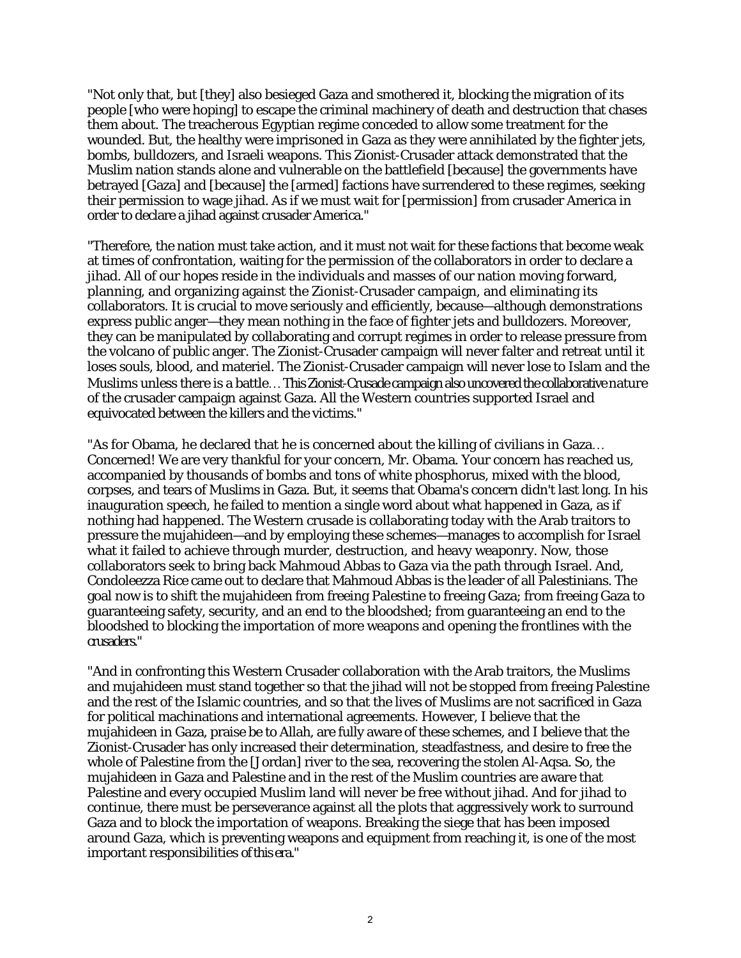"Not only that, but [they] also besieged Gaza and smothered it, blocking the migration of its people [who were hoping] to escape the criminal machinery of death and destruction that chases them about. The treacherous Egyptian regime conceded to allow some treatment for the wounded. But, the healthy were imprisoned in Gaza as they were annihilated by the fighter jets, bombs, bulldozers, and Israeli weapons. This Zionist-Crusader attack demonstrated that the Muslim nation stands alone and vulnerable on the battlefield [because] the governments have betrayed [Gaza] and [because] the [armed] factions have surrendered to these regimes, seeking their permission to wage jihad. As if we must wait for [permission] from crusader America in order to declare a jihad against crusader America."

"Therefore, the nation must take action, and it must not wait for these factions that become weak at times of confrontation, waiting for the permission of the collaborators in order to declare a jihad. All of our hopes reside in the individuals and masses of our nation moving forward, planning, and organizing against the Zionist-Crusader campaign, and eliminating its collaborators. It is crucial to move seriously and efficiently, because—although demonstrations express public anger—they mean nothing in the face of fighter jets and bulldozers. Moreover, they can be manipulated by collaborating and corrupt regimes in order to release pressure from the volcano of public anger. The Zionist-Crusader campaign will never falter and retreat until it loses souls, blood, and materiel. The Zionist-Crusader campaign will never lose to Islam and the Muslims unless there is a battle ... This Zionist-Crusade campaign also uncovered the collaborative nature of the crusader campaign against Gaza. All the Western countries supported Israel and equivocated between the killers and the victims."

"As for Obama, he declared that he is concerned about the killing of civilians in Gaza... Concerned! We are very thankful for your concern, Mr. Obama. Your concern has reached us, accompanied by thousands of bombs and tons of white phosphorus, mixed with the blood, corpses, and tears of Muslims in Gaza. But, it seems that Obama's concern didn't last long. In his inauguration speech, he failed to mention a single word about what happened in Gaza, as if nothing had happened. The Western crusade is collaborating today with the Arab traitors to pressure the mujahideen—and by employing these schemes—manages to accomplish for Israel what it failed to achieve through murder, destruction, and heavy weaponry. Now, those collaborators seek to bring back Mahmoud Abbas to Gaza via the path through Israel. And, Condoleezza Rice came out to declare that Mahmoud Abbas is the leader of all Palestinians. The goal now is to shift the mujahideen from freeing Palestine to freeing Gaza; from freeing Gaza to guaranteeing safety, security, and an end to the bloodshed; from guaranteeing an end to the bloodshed to blocking the importation of more weapons and opening the frontlines with the crusaders."

"And in confronting this Western Crusader collaboration with the Arab traitors, the Muslims and mujahideen must stand together so that the jihad will not be stopped from freeing Palestine and the rest of the Islamic countries, and so that the lives of Muslims are not sacrificed in Gaza for political machinations and international agreements. However, I believe that the mujahideen in Gaza, praise be to Allah, are fully aware of these schemes, and I believe that the Zionist-Crusader has only increased their determination, steadfastness, and desire to free the whole of Palestine from the [Jordan] river to the sea, recovering the stolen Al-Aqsa. So, the mujahideen in Gaza and Palestine and in the rest of the Muslim countries are aware that Palestine and every occupied Muslim land will never be free without jihad. And for jihad to continue, there must be perseverance against all the plots that aggressively work to surround Gaza and to block the importation of weapons. Breaking the siege that has been imposed around Gaza, which is preventing weapons and equipment from reaching it, is one of the most important responsibilities of this era."